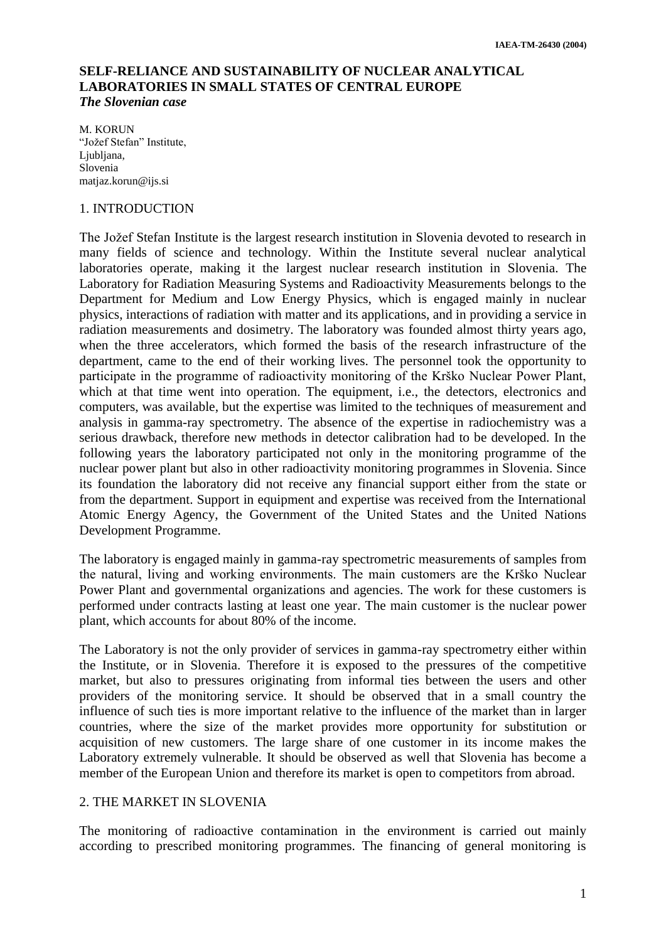# **SELF-RELIANCE AND SUSTAINABILITY OF NUCLEAR ANALYTICAL LABORATORIES IN SMALL STATES OF CENTRAL EUROPE** *The Slovenian case*

M. KORUN "Jožef Stefan" Institute, Liubliana. Slovenia matjaz.korun@ijs.si

#### 1. INTRODUCTION

The Jožef Stefan Institute is the largest research institution in Slovenia devoted to research in many fields of science and technology. Within the Institute several nuclear analytical laboratories operate, making it the largest nuclear research institution in Slovenia. The Laboratory for Radiation Measuring Systems and Radioactivity Measurements belongs to the Department for Medium and Low Energy Physics, which is engaged mainly in nuclear physics, interactions of radiation with matter and its applications, and in providing a service in radiation measurements and dosimetry. The laboratory was founded almost thirty years ago, when the three accelerators, which formed the basis of the research infrastructure of the department, came to the end of their working lives. The personnel took the opportunity to participate in the programme of radioactivity monitoring of the Krško Nuclear Power Plant, which at that time went into operation. The equipment, i.e., the detectors, electronics and computers, was available, but the expertise was limited to the techniques of measurement and analysis in gamma-ray spectrometry. The absence of the expertise in radiochemistry was a serious drawback, therefore new methods in detector calibration had to be developed. In the following years the laboratory participated not only in the monitoring programme of the nuclear power plant but also in other radioactivity monitoring programmes in Slovenia. Since its foundation the laboratory did not receive any financial support either from the state or from the department. Support in equipment and expertise was received from the International Atomic Energy Agency, the Government of the United States and the United Nations Development Programme.

The laboratory is engaged mainly in gamma-ray spectrometric measurements of samples from the natural, living and working environments. The main customers are the Krško Nuclear Power Plant and governmental organizations and agencies. The work for these customers is performed under contracts lasting at least one year. The main customer is the nuclear power plant, which accounts for about 80% of the income.

The Laboratory is not the only provider of services in gamma-ray spectrometry either within the Institute, or in Slovenia. Therefore it is exposed to the pressures of the competitive market, but also to pressures originating from informal ties between the users and other providers of the monitoring service. It should be observed that in a small country the influence of such ties is more important relative to the influence of the market than in larger countries, where the size of the market provides more opportunity for substitution or acquisition of new customers. The large share of one customer in its income makes the Laboratory extremely vulnerable. It should be observed as well that Slovenia has become a member of the European Union and therefore its market is open to competitors from abroad.

## 2. THE MARKET IN SLOVENIA

The monitoring of radioactive contamination in the environment is carried out mainly according to prescribed monitoring programmes. The financing of general monitoring is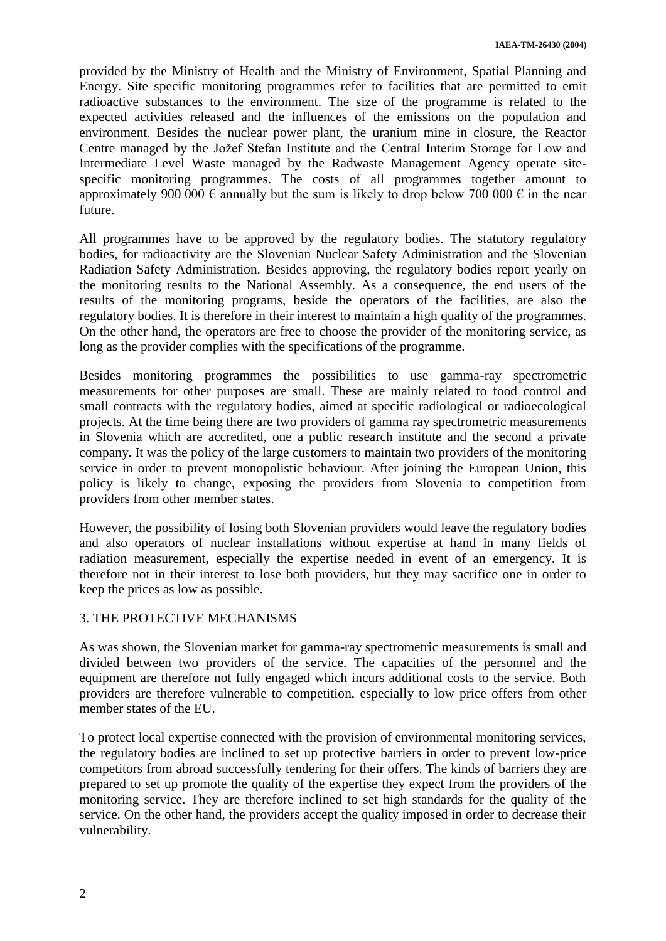provided by the Ministry of Health and the Ministry of Environment, Spatial Planning and Energy. Site specific monitoring programmes refer to facilities that are permitted to emit radioactive substances to the environment. The size of the programme is related to the expected activities released and the influences of the emissions on the population and environment. Besides the nuclear power plant, the uranium mine in closure, the Reactor Centre managed by the Jožef Stefan Institute and the Central Interim Storage for Low and Intermediate Level Waste managed by the Radwaste Management Agency operate sitespecific monitoring programmes. The costs of all programmes together amount to approximately 900 000  $\epsilon$  annually but the sum is likely to drop below 700 000  $\epsilon$  in the near future.

All programmes have to be approved by the regulatory bodies. The statutory regulatory bodies, for radioactivity are the Slovenian Nuclear Safety Administration and the Slovenian Radiation Safety Administration. Besides approving, the regulatory bodies report yearly on the monitoring results to the National Assembly. As a consequence, the end users of the results of the monitoring programs, beside the operators of the facilities, are also the regulatory bodies. It is therefore in their interest to maintain a high quality of the programmes. On the other hand, the operators are free to choose the provider of the monitoring service, as long as the provider complies with the specifications of the programme.

Besides monitoring programmes the possibilities to use gamma-ray spectrometric measurements for other purposes are small. These are mainly related to food control and small contracts with the regulatory bodies, aimed at specific radiological or radioecological projects. At the time being there are two providers of gamma ray spectrometric measurements in Slovenia which are accredited, one a public research institute and the second a private company. It was the policy of the large customers to maintain two providers of the monitoring service in order to prevent monopolistic behaviour. After joining the European Union, this policy is likely to change, exposing the providers from Slovenia to competition from providers from other member states.

However, the possibility of losing both Slovenian providers would leave the regulatory bodies and also operators of nuclear installations without expertise at hand in many fields of radiation measurement, especially the expertise needed in event of an emergency. It is therefore not in their interest to lose both providers, but they may sacrifice one in order to keep the prices as low as possible.

## 3. THE PROTECTIVE MECHANISMS

As was shown, the Slovenian market for gamma-ray spectrometric measurements is small and divided between two providers of the service. The capacities of the personnel and the equipment are therefore not fully engaged which incurs additional costs to the service. Both providers are therefore vulnerable to competition, especially to low price offers from other member states of the EU.

To protect local expertise connected with the provision of environmental monitoring services, the regulatory bodies are inclined to set up protective barriers in order to prevent low-price competitors from abroad successfully tendering for their offers. The kinds of barriers they are prepared to set up promote the quality of the expertise they expect from the providers of the monitoring service. They are therefore inclined to set high standards for the quality of the service. On the other hand, the providers accept the quality imposed in order to decrease their vulnerability.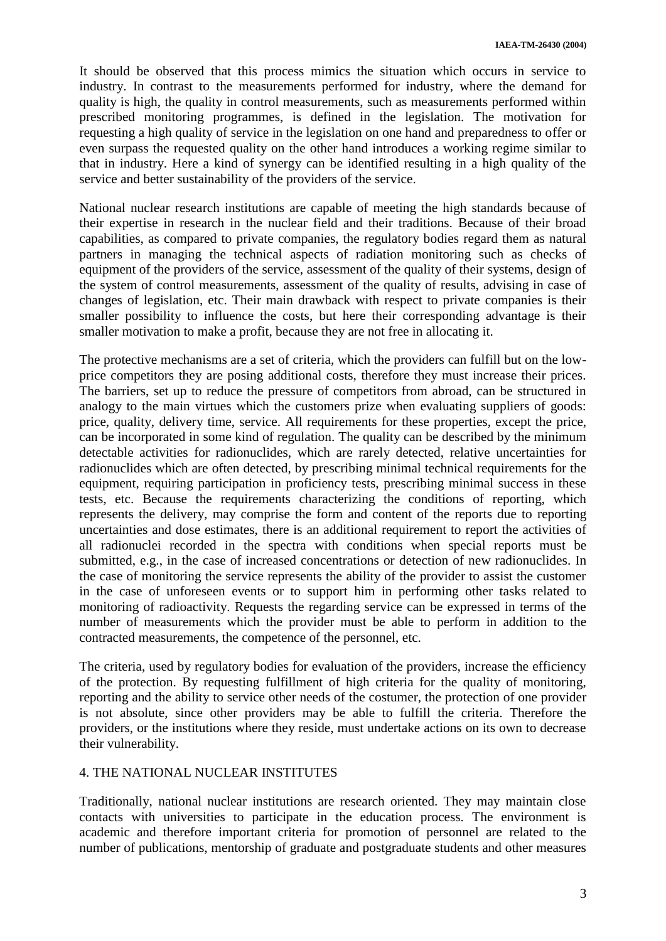It should be observed that this process mimics the situation which occurs in service to industry. In contrast to the measurements performed for industry, where the demand for quality is high, the quality in control measurements, such as measurements performed within prescribed monitoring programmes, is defined in the legislation. The motivation for requesting a high quality of service in the legislation on one hand and preparedness to offer or even surpass the requested quality on the other hand introduces a working regime similar to that in industry. Here a kind of synergy can be identified resulting in a high quality of the service and better sustainability of the providers of the service.

National nuclear research institutions are capable of meeting the high standards because of their expertise in research in the nuclear field and their traditions. Because of their broad capabilities, as compared to private companies, the regulatory bodies regard them as natural partners in managing the technical aspects of radiation monitoring such as checks of equipment of the providers of the service, assessment of the quality of their systems, design of the system of control measurements, assessment of the quality of results, advising in case of changes of legislation, etc. Their main drawback with respect to private companies is their smaller possibility to influence the costs, but here their corresponding advantage is their smaller motivation to make a profit, because they are not free in allocating it.

The protective mechanisms are a set of criteria, which the providers can fulfill but on the lowprice competitors they are posing additional costs, therefore they must increase their prices. The barriers, set up to reduce the pressure of competitors from abroad, can be structured in analogy to the main virtues which the customers prize when evaluating suppliers of goods: price, quality, delivery time, service. All requirements for these properties, except the price, can be incorporated in some kind of regulation. The quality can be described by the minimum detectable activities for radionuclides, which are rarely detected, relative uncertainties for radionuclides which are often detected, by prescribing minimal technical requirements for the equipment, requiring participation in proficiency tests, prescribing minimal success in these tests, etc. Because the requirements characterizing the conditions of reporting, which represents the delivery, may comprise the form and content of the reports due to reporting uncertainties and dose estimates, there is an additional requirement to report the activities of all radionuclei recorded in the spectra with conditions when special reports must be submitted, e.g., in the case of increased concentrations or detection of new radionuclides. In the case of monitoring the service represents the ability of the provider to assist the customer in the case of unforeseen events or to support him in performing other tasks related to monitoring of radioactivity. Requests the regarding service can be expressed in terms of the number of measurements which the provider must be able to perform in addition to the contracted measurements, the competence of the personnel, etc.

The criteria, used by regulatory bodies for evaluation of the providers, increase the efficiency of the protection. By requesting fulfillment of high criteria for the quality of monitoring, reporting and the ability to service other needs of the costumer, the protection of one provider is not absolute, since other providers may be able to fulfill the criteria. Therefore the providers, or the institutions where they reside, must undertake actions on its own to decrease their vulnerability.

## 4. THE NATIONAL NUCLEAR INSTITUTES

Traditionally, national nuclear institutions are research oriented. They may maintain close contacts with universities to participate in the education process. The environment is academic and therefore important criteria for promotion of personnel are related to the number of publications, mentorship of graduate and postgraduate students and other measures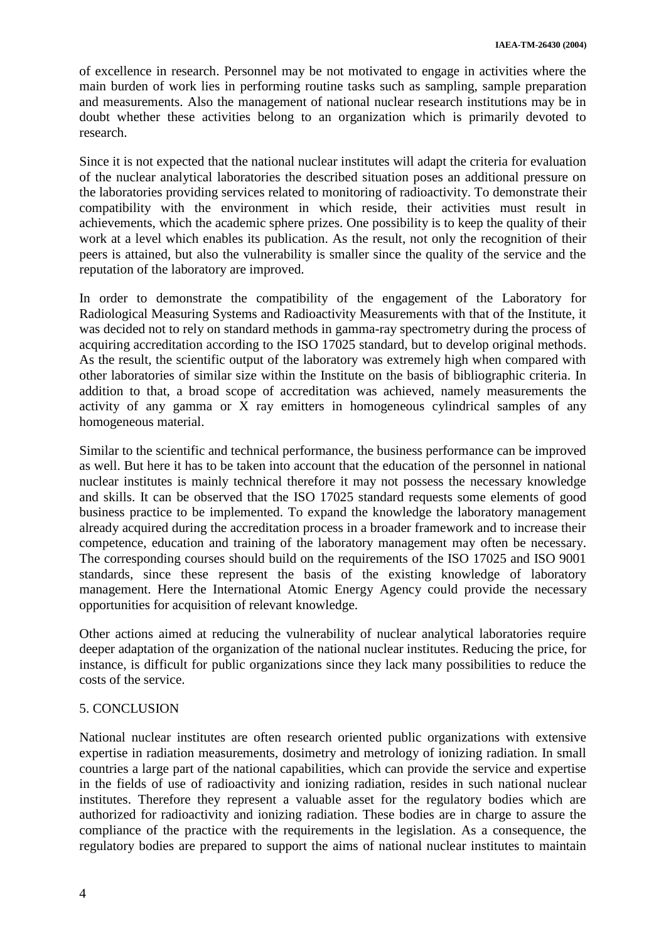of excellence in research. Personnel may be not motivated to engage in activities where the main burden of work lies in performing routine tasks such as sampling, sample preparation and measurements. Also the management of national nuclear research institutions may be in doubt whether these activities belong to an organization which is primarily devoted to research.

Since it is not expected that the national nuclear institutes will adapt the criteria for evaluation of the nuclear analytical laboratories the described situation poses an additional pressure on the laboratories providing services related to monitoring of radioactivity. To demonstrate their compatibility with the environment in which reside, their activities must result in achievements, which the academic sphere prizes. One possibility is to keep the quality of their work at a level which enables its publication. As the result, not only the recognition of their peers is attained, but also the vulnerability is smaller since the quality of the service and the reputation of the laboratory are improved.

In order to demonstrate the compatibility of the engagement of the Laboratory for Radiological Measuring Systems and Radioactivity Measurements with that of the Institute, it was decided not to rely on standard methods in gamma-ray spectrometry during the process of acquiring accreditation according to the ISO 17025 standard, but to develop original methods. As the result, the scientific output of the laboratory was extremely high when compared with other laboratories of similar size within the Institute on the basis of bibliographic criteria. In addition to that, a broad scope of accreditation was achieved, namely measurements the activity of any gamma or X ray emitters in homogeneous cylindrical samples of any homogeneous material.

Similar to the scientific and technical performance, the business performance can be improved as well. But here it has to be taken into account that the education of the personnel in national nuclear institutes is mainly technical therefore it may not possess the necessary knowledge and skills. It can be observed that the ISO 17025 standard requests some elements of good business practice to be implemented. To expand the knowledge the laboratory management already acquired during the accreditation process in a broader framework and to increase their competence, education and training of the laboratory management may often be necessary. The corresponding courses should build on the requirements of the ISO 17025 and ISO 9001 standards, since these represent the basis of the existing knowledge of laboratory management. Here the International Atomic Energy Agency could provide the necessary opportunities for acquisition of relevant knowledge.

Other actions aimed at reducing the vulnerability of nuclear analytical laboratories require deeper adaptation of the organization of the national nuclear institutes. Reducing the price, for instance, is difficult for public organizations since they lack many possibilities to reduce the costs of the service.

### 5. CONCLUSION

National nuclear institutes are often research oriented public organizations with extensive expertise in radiation measurements, dosimetry and metrology of ionizing radiation. In small countries a large part of the national capabilities, which can provide the service and expertise in the fields of use of radioactivity and ionizing radiation, resides in such national nuclear institutes. Therefore they represent a valuable asset for the regulatory bodies which are authorized for radioactivity and ionizing radiation. These bodies are in charge to assure the compliance of the practice with the requirements in the legislation. As a consequence, the regulatory bodies are prepared to support the aims of national nuclear institutes to maintain